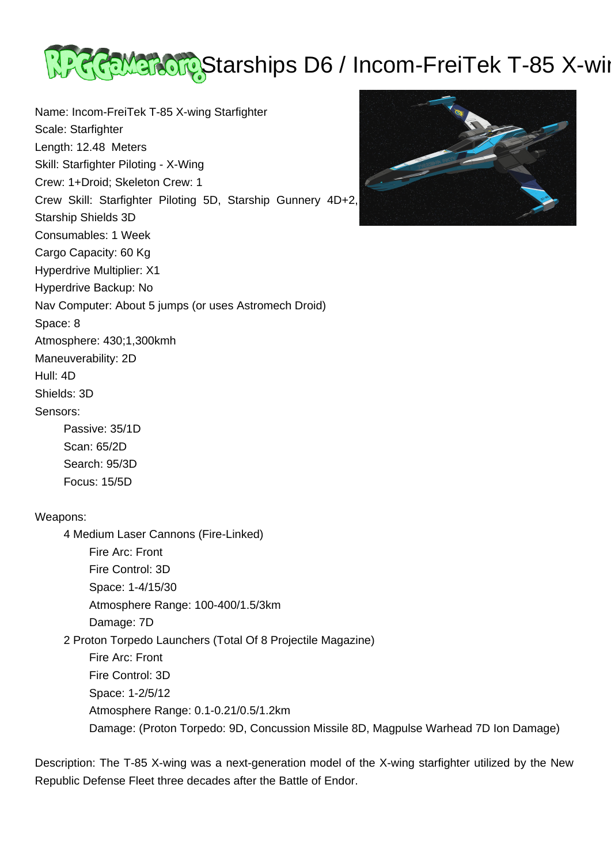

Name: Incom-FreiTek T-85 X-wing Starfighter Scale: Starfighter Length: 12.48 Meters Skill: Starfighter Piloting - X-Wing Crew: 1+Droid; Skeleton Crew: 1 Crew Skill: Starfighter Piloting 5D, Starship Gunnery 4D+2, Starship Shields 3D Consumables: 1 Week Cargo Capacity: 60 Kg Hyperdrive Multiplier: X1 Hyperdrive Backup: No Nav Computer: About 5 jumps (or uses Astromech Droid) Space: 8 Atmosphere: 430;1,300kmh Maneuverability: 2D Hull: 4D Shields: 3D Sensors: Passive: 35/1D Scan: 65/2D Search: 95/3D Focus: 15/5D Weapons: 4 Medium Laser Cannons (Fire-Linked) Fire Arc: Front Fire Control: 3D Space: 1-4/15/30 Atmosphere Range: 100-400/1.5/3km Damage: 7D 2 Proton Torpedo Launchers (Total Of 8 Projectile Magazine) Fire Arc: Front Fire Control: 3D Space: 1-2/5/12 Atmosphere Range: 0.1-0.21/0.5/1.2km

Description: The T-85 X-wing was a next-generation model of the X-wing starfighter utilized by the New Republic Defense Fleet three decades after the Battle of Endor.

Damage: (Proton Torpedo: 9D, Concussion Missile 8D, Magpulse Warhead 7D Ion Damage)